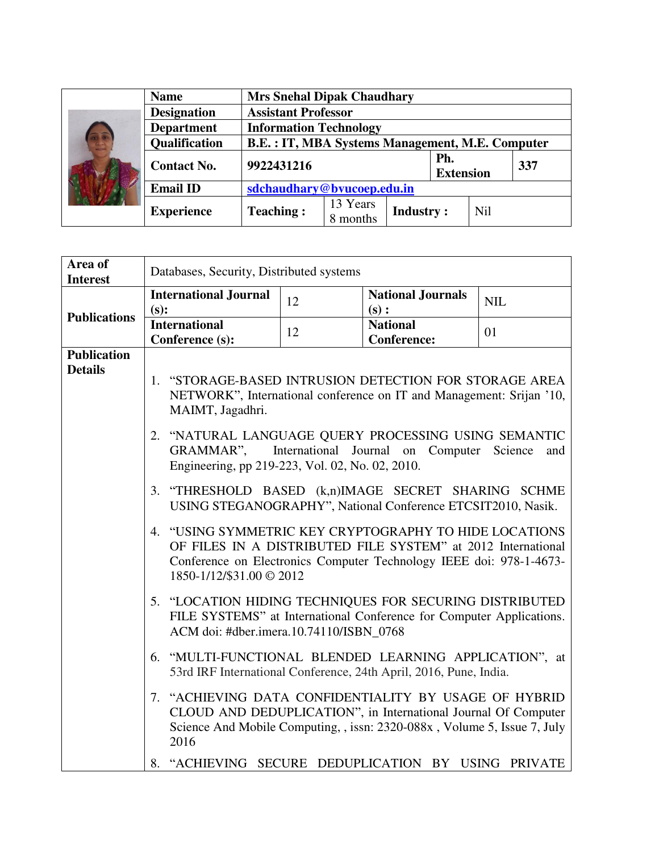|    | <b>Name</b>          | <b>Mrs Snehal Dipak Chaudhary</b>                      |                      |                  |                         |            |     |
|----|----------------------|--------------------------------------------------------|----------------------|------------------|-------------------------|------------|-----|
| 75 | <b>Designation</b>   | <b>Assistant Professor</b>                             |                      |                  |                         |            |     |
|    | <b>Department</b>    | <b>Information Technology</b>                          |                      |                  |                         |            |     |
|    | <b>Qualification</b> | <b>B.E.: IT, MBA Systems Management, M.E. Computer</b> |                      |                  |                         |            |     |
|    | <b>Contact No.</b>   | 9922431216                                             |                      |                  | Ph.<br><b>Extension</b> |            | 337 |
|    | <b>Email ID</b>      | sdchaudhary@bvucoep.edu.in                             |                      |                  |                         |            |     |
|    | <b>Experience</b>    | <b>Teaching:</b>                                       | 13 Years<br>8 months | <b>Industry:</b> |                         | <b>Nil</b> |     |

| Area of<br><b>Interest</b>           | Databases, Security, Distributed systems                                                                                                                                                                                                                                                                                                                                                                                                                                                                                                                                         |                          |                                                                                                                                                                                                                                                                                                                                                                                                                                                                                                                                                                        |                         |  |
|--------------------------------------|----------------------------------------------------------------------------------------------------------------------------------------------------------------------------------------------------------------------------------------------------------------------------------------------------------------------------------------------------------------------------------------------------------------------------------------------------------------------------------------------------------------------------------------------------------------------------------|--------------------------|------------------------------------------------------------------------------------------------------------------------------------------------------------------------------------------------------------------------------------------------------------------------------------------------------------------------------------------------------------------------------------------------------------------------------------------------------------------------------------------------------------------------------------------------------------------------|-------------------------|--|
|                                      | <b>International Journal</b><br>(s):                                                                                                                                                                                                                                                                                                                                                                                                                                                                                                                                             | 12                       | <b>National Journals</b><br>(s):                                                                                                                                                                                                                                                                                                                                                                                                                                                                                                                                       | <b>NIL</b>              |  |
| <b>Publications</b>                  | <b>International</b><br>Conference (s):                                                                                                                                                                                                                                                                                                                                                                                                                                                                                                                                          | 12                       | <b>National</b><br><b>Conference:</b>                                                                                                                                                                                                                                                                                                                                                                                                                                                                                                                                  | 01                      |  |
| <b>Publication</b><br><b>Details</b> | 1. "STORAGE-BASED INTRUSION DETECTION FOR STORAGE AREA<br>MAIMT, Jagadhri.<br>2. "NATURAL LANGUAGE QUERY PROCESSING USING SEMANTIC<br>GRAMMAR".<br>Engineering, pp 219-223, Vol. 02, No. 02, 2010.<br>3. "THRESHOLD BASED (k,n)IMAGE SECRET SHARING SCHME<br>4. "USING SYMMETRIC KEY CRYPTOGRAPHY TO HIDE LOCATIONS<br>1850-1/12/\$31.00 © 2012<br>5. "LOCATION HIDING TECHNIQUES FOR SECURING DISTRIBUTED<br>ACM doi: #dber.imera.10.74110/ISBN_0768<br>6. "MULTI-FUNCTIONAL BLENDED LEARNING APPLICATION", at<br>7. "ACHIEVING DATA CONFIDENTIALITY BY USAGE OF HYBRID<br>2016 | International Journal on | NETWORK", International conference on IT and Management: Srijan '10,<br>USING STEGANOGRAPHY", National Conference ETCSIT2010, Nasik.<br>OF FILES IN A DISTRIBUTED FILE SYSTEM" at 2012 International<br>Conference on Electronics Computer Technology IEEE doi: 978-1-4673-<br>FILE SYSTEMS" at International Conference for Computer Applications.<br>53rd IRF International Conference, 24th April, 2016, Pune, India.<br>CLOUD AND DEDUPLICATION", in International Journal Of Computer<br>Science And Mobile Computing, , issn: 2320-088x, Volume 5, Issue 7, July | Computer Science<br>and |  |
|                                      | 8. "ACHIEVING SECURE DEDUPLICATION BY USING PRIVATE                                                                                                                                                                                                                                                                                                                                                                                                                                                                                                                              |                          |                                                                                                                                                                                                                                                                                                                                                                                                                                                                                                                                                                        |                         |  |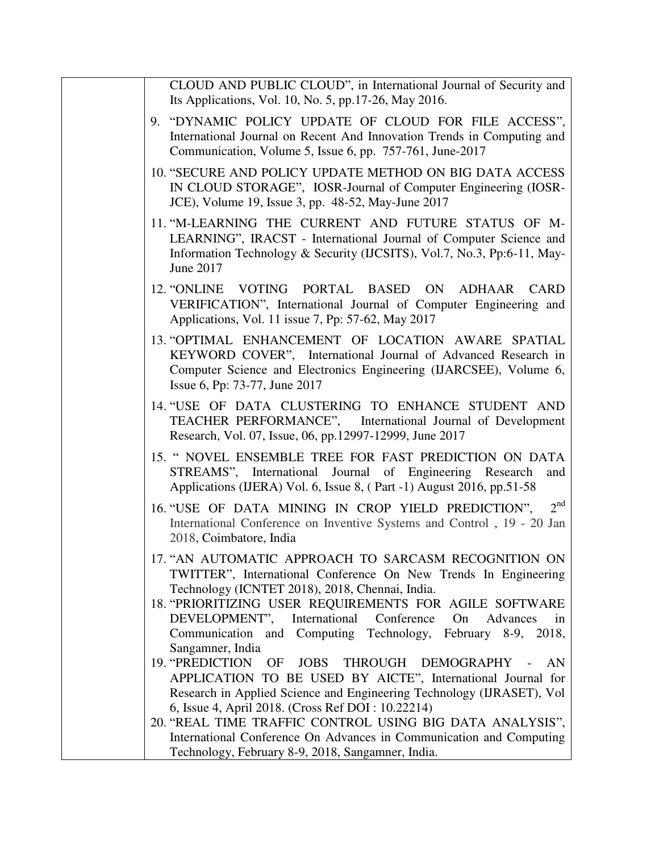| CLOUD AND PUBLIC CLOUD", in International Journal of Security and<br>Its Applications, Vol. 10, No. 5, pp.17-26, May 2016.                                                                                                                                                                                                                                                                              |
|---------------------------------------------------------------------------------------------------------------------------------------------------------------------------------------------------------------------------------------------------------------------------------------------------------------------------------------------------------------------------------------------------------|
| 9. "DYNAMIC POLICY UPDATE OF CLOUD FOR FILE ACCESS",<br>International Journal on Recent And Innovation Trends in Computing and<br>Communication, Volume 5, Issue 6, pp. 757-761, June-2017                                                                                                                                                                                                              |
| 10. "SECURE AND POLICY UPDATE METHOD ON BIG DATA ACCESS<br>IN CLOUD STORAGE", IOSR-Journal of Computer Engineering (IOSR-<br>JCE), Volume 19, Issue 3, pp. 48-52, May-June 2017                                                                                                                                                                                                                         |
| 11. "M-LEARNING THE CURRENT AND FUTURE STATUS OF M-<br>LEARNING", IRACST - International Journal of Computer Science and<br>Information Technology & Security (IJCSITS), Vol.7, No.3, Pp:6-11, May-<br>June 2017                                                                                                                                                                                        |
| 12. "ONLINE VOTING PORTAL BASED ON<br>ADHAAR CARD<br>VERIFICATION", International Journal of Computer Engineering and<br>Applications, Vol. 11 issue 7, Pp: 57-62, May 2017                                                                                                                                                                                                                             |
| 13. "OPTIMAL ENHANCEMENT OF LOCATION AWARE SPATIAL<br>KEYWORD COVER", International Journal of Advanced Research in<br>Computer Science and Electronics Engineering (IJARCSEE), Volume 6,<br>Issue 6, Pp: 73-77, June 2017                                                                                                                                                                              |
| 14. "USE OF DATA CLUSTERING TO ENHANCE STUDENT AND<br>TEACHER PERFORMANCE", International Journal of Development<br>Research, Vol. 07, Issue, 06, pp.12997-12999, June 2017                                                                                                                                                                                                                             |
| 15. " NOVEL ENSEMBLE TREE FOR FAST PREDICTION ON DATA<br>STREAMS", International Journal of Engineering Research<br>and<br>Applications (IJERA) Vol. 6, Issue 8, (Part -1) August 2016, pp.51-58                                                                                                                                                                                                        |
| 2 <sup>nd</sup><br>16. "USE OF DATA MINING IN CROP YIELD PREDICTION",<br>International Conference on Inventive Systems and Control, 19 - 20 Jan<br>2018, Coimbatore, India                                                                                                                                                                                                                              |
| 17. "AN AUTOMATIC APPROACH TO SARCASM RECOGNITION ON<br>TWITTER", International Conference On New Trends In Engineering<br>Technology (ICNTET 2018), 2018, Chennai, India.<br>18. "PRIORITIZING USER REQUIREMENTS FOR AGILE SOFTWARE<br>DEVELOPMENT", International Conference<br>On<br>Advances<br>in<br>Communication and Computing Technology, February 8-9, 2018,<br>Sangamner, India               |
| <b>19. "PREDICTION</b><br><b>JOBS</b><br>THROUGH DEMOGRAPHY<br>OF<br>AN<br>APPLICATION TO BE USED BY AICTE", International Journal for<br>Research in Applied Science and Engineering Technology (IJRASET), Vol<br>6, Issue 4, April 2018. (Cross Ref DOI: 10.22214)<br>20. "REAL TIME TRAFFIC CONTROL USING BIG DATA ANALYSIS",<br>International Conference On Advances in Communication and Computing |
| Technology, February 8-9, 2018, Sangamner, India.                                                                                                                                                                                                                                                                                                                                                       |